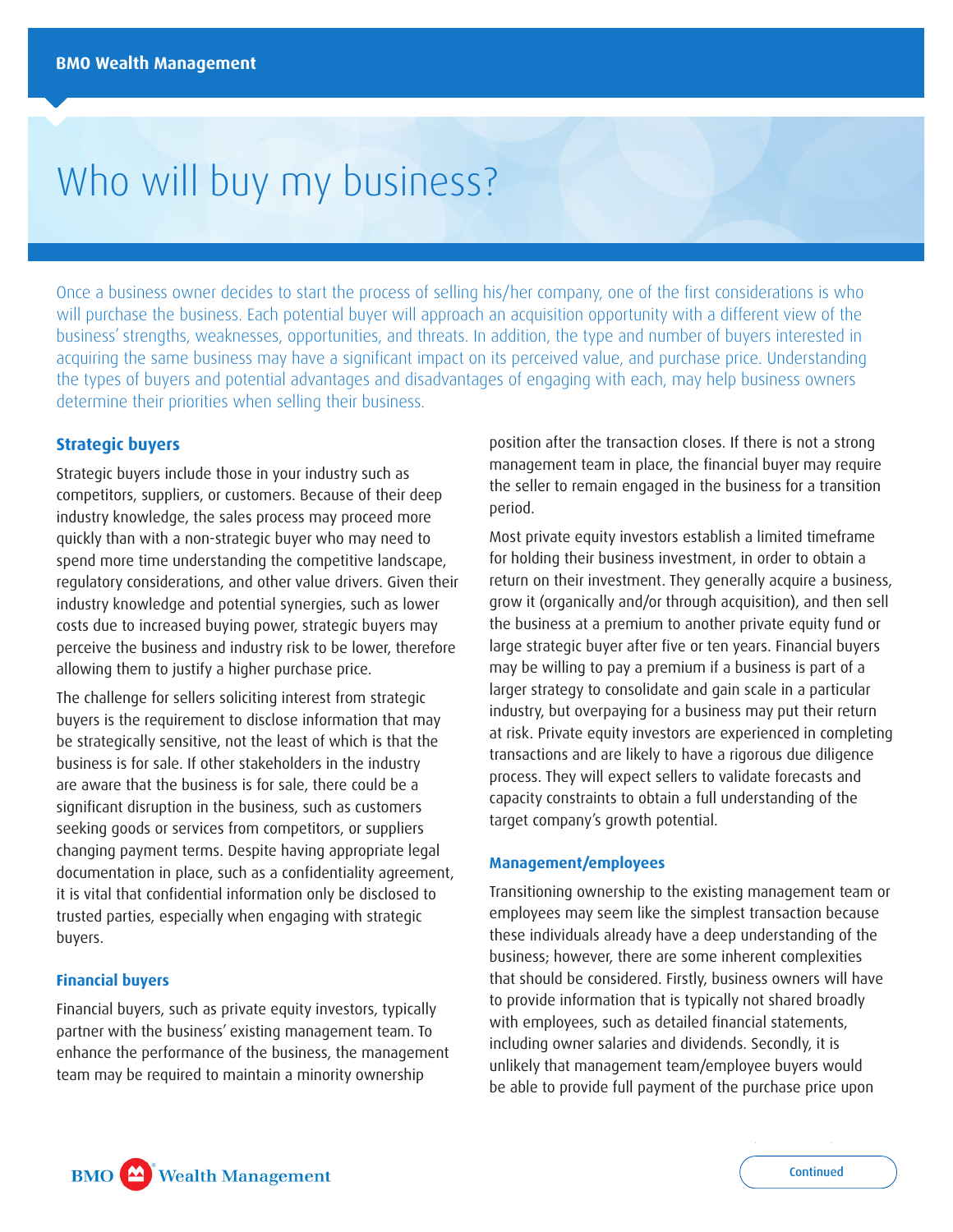# Who will buy my business?

Once a business owner decides to start the process of selling his/her company, one of the first considerations is who will purchase the business. Each potential buyer will approach an acquisition opportunity with a different view of the business' strengths, weaknesses, opportunities, and threats. In addition, the type and number of buyers interested in acquiring the same business may have a significant impact on its perceived value, and purchase price. Understanding the types of buyers and potential advantages and disadvantages of engaging with each, may help business owners determine their priorities when selling their business.

# **Strategic buyers**

Strategic buyers include those in your industry such as competitors, suppliers, or customers. Because of their deep industry knowledge, the sales process may proceed more quickly than with a non-strategic buyer who may need to spend more time understanding the competitive landscape, regulatory considerations, and other value drivers. Given their industry knowledge and potential synergies, such as lower costs due to increased buying power, strategic buyers may perceive the business and industry risk to be lower, therefore allowing them to justify a higher purchase price.

The challenge for sellers soliciting interest from strategic buyers is the requirement to disclose information that may be strategically sensitive, not the least of which is that the business is for sale. If other stakeholders in the industry are aware that the business is for sale, there could be a significant disruption in the business, such as customers seeking goods or services from competitors, or suppliers changing payment terms. Despite having appropriate legal documentation in place, such as a confidentiality agreement, it is vital that confidential information only be disclosed to trusted parties, especially when engaging with strategic buyers.

## **Financial buyers**

Financial buyers, such as private equity investors, typically partner with the business' existing management team. To enhance the performance of the business, the management team may be required to maintain a minority ownership

position after the transaction closes. If there is not a strong management team in place, the financial buyer may require the seller to remain engaged in the business for a transition period.

Most private equity investors establish a limited timeframe for holding their business investment, in order to obtain a return on their investment. They generally acquire a business, grow it (organically and/or through acquisition), and then sell the business at a premium to another private equity fund or large strategic buyer after five or ten years. Financial buyers may be willing to pay a premium if a business is part of a larger strategy to consolidate and gain scale in a particular industry, but overpaying for a business may put their return at risk. Private equity investors are experienced in completing transactions and are likely to have a rigorous due diligence process. They will expect sellers to validate forecasts and capacity constraints to obtain a full understanding of the target company's growth potential.

## **Management/employees**

Transitioning ownership to the existing management team or employees may seem like the simplest transaction because these individuals already have a deep understanding of the business; however, there are some inherent complexities that should be considered. Firstly, business owners will have to provide information that is typically not shared broadly with employees, such as detailed financial statements, including owner salaries and dividends. Secondly, it is unlikely that management team/employee buyers would be able to provide full payment of the purchase price upon